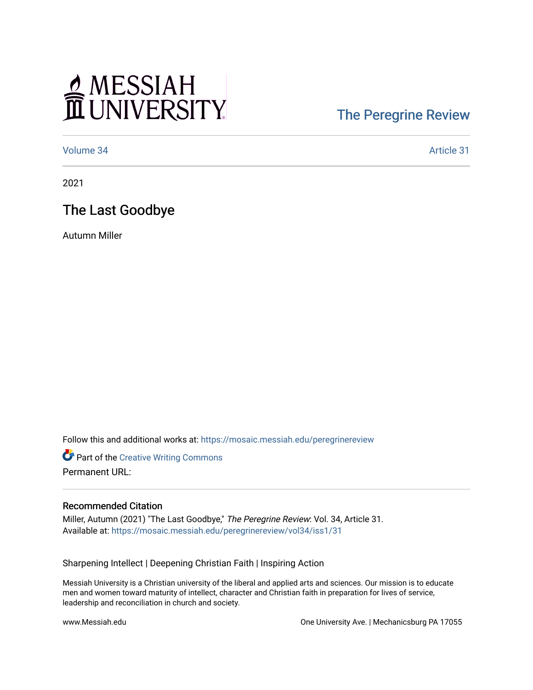## MESSIAH

## [The Peregrine Review](https://mosaic.messiah.edu/peregrinereview)

[Volume 34](https://mosaic.messiah.edu/peregrinereview/vol34) Article 31

2021

The Last Goodbye

Autumn Miller

Follow this and additional works at: [https://mosaic.messiah.edu/peregrinereview](https://mosaic.messiah.edu/peregrinereview?utm_source=mosaic.messiah.edu%2Fperegrinereview%2Fvol34%2Fiss1%2F31&utm_medium=PDF&utm_campaign=PDFCoverPages) 

**Part of the Creative Writing Commons** Permanent URL:

## Recommended Citation

Miller, Autumn (2021) "The Last Goodbye," The Peregrine Review: Vol. 34, Article 31. Available at: [https://mosaic.messiah.edu/peregrinereview/vol34/iss1/31](https://mosaic.messiah.edu/peregrinereview/vol34/iss1/31?utm_source=mosaic.messiah.edu%2Fperegrinereview%2Fvol34%2Fiss1%2F31&utm_medium=PDF&utm_campaign=PDFCoverPages)

Sharpening Intellect | Deepening Christian Faith | Inspiring Action

Messiah University is a Christian university of the liberal and applied arts and sciences. Our mission is to educate men and women toward maturity of intellect, character and Christian faith in preparation for lives of service, leadership and reconciliation in church and society.

www.Messiah.edu One University Ave. | Mechanicsburg PA 17055